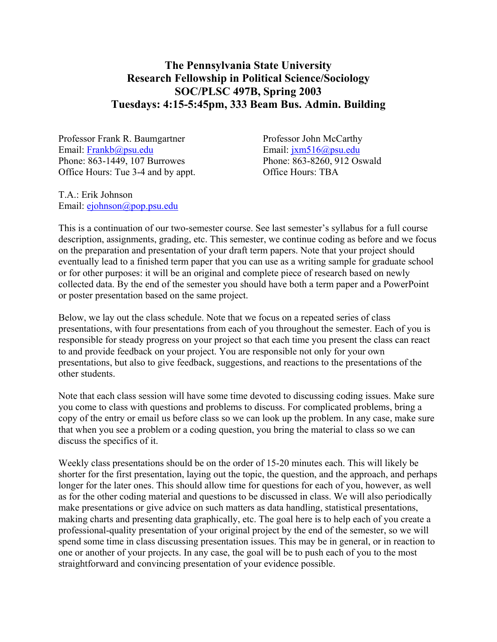## **The Pennsylvania State University Research Fellowship in Political Science/Sociology SOC/PLSC 497B, Spring 2003 Tuesdays: 4:15-5:45pm, 333 Beam Bus. Admin. Building**

Professor Frank R. Baumgartner Professor John McCarthy Email: Frankb@psu.edu Email: jxm516@psu.edu Phone: 863-1449, 107 Burrowes Phone: 863-8260, 912 Oswald Office Hours: Tue 3-4 and by appt. Office Hours: TBA

T.A.: Erik Johnson Email: ejohnson@pop.psu.edu

This is a continuation of our two-semester course. See last semester's syllabus for a full course description, assignments, grading, etc. This semester, we continue coding as before and we focus on the preparation and presentation of your draft term papers. Note that your project should eventually lead to a finished term paper that you can use as a writing sample for graduate school or for other purposes: it will be an original and complete piece of research based on newly collected data. By the end of the semester you should have both a term paper and a PowerPoint or poster presentation based on the same project.

Below, we lay out the class schedule. Note that we focus on a repeated series of class presentations, with four presentations from each of you throughout the semester. Each of you is responsible for steady progress on your project so that each time you present the class can react to and provide feedback on your project. You are responsible not only for your own presentations, but also to give feedback, suggestions, and reactions to the presentations of the other students.

Note that each class session will have some time devoted to discussing coding issues. Make sure you come to class with questions and problems to discuss. For complicated problems, bring a copy of the entry or email us before class so we can look up the problem. In any case, make sure that when you see a problem or a coding question, you bring the material to class so we can discuss the specifics of it.

Weekly class presentations should be on the order of 15-20 minutes each. This will likely be shorter for the first presentation, laying out the topic, the question, and the approach, and perhaps longer for the later ones. This should allow time for questions for each of you, however, as well as for the other coding material and questions to be discussed in class. We will also periodically make presentations or give advice on such matters as data handling, statistical presentations, making charts and presenting data graphically, etc. The goal here is to help each of you create a professional-quality presentation of your original project by the end of the semester, so we will spend some time in class discussing presentation issues. This may be in general, or in reaction to one or another of your projects. In any case, the goal will be to push each of you to the most straightforward and convincing presentation of your evidence possible.